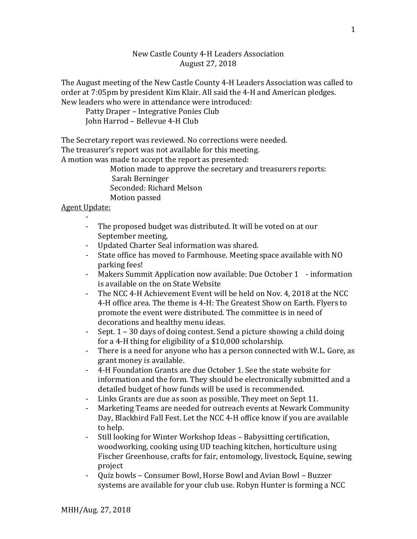## New Castle County 4-H Leaders Association August 27, 2018

The August meeting of the New Castle County 4-H Leaders Association was called to order at 7:05pm by president Kim Klair. All said the 4-H and American pledges. New leaders who were in attendance were introduced:

Patty Draper – Integrative Ponies Club John Harrod – Bellevue 4-H Club

The Secretary report was reviewed. No corrections were needed.

The treasurer's report was not available for this meeting.

A motion was made to accept the report as presented:

Motion made to approve the secretary and treasurers reports: Sarah Berninger

Seconded: Richard Melson

Motion passed

## Agent Update:

- - The proposed budget was distributed. It will be voted on at our September meeting,
- Updated Charter Seal information was shared.<br>- State office has moved to Farmhouse. Meeting s
- State office has moved to Farmhouse. Meeting space available with NO parking fees!
- Makers Summit Application now available: Due October 1 information is available on the on State Website
- The NCC 4-H Achievement Event will be held on Nov. 4, 2018 at the NCC 4-H office area. The theme is 4-H: The Greatest Show on Earth. Flyers to promote the event were distributed. The committee is in need of decorations and healthy menu ideas.
- Sept. 1 30 days of doing contest. Send a picture showing a child doing for a 4-H thing for eligibility of a \$10,000 scholarship.
- There is a need for anyone who has a person connected with W.L. Gore, as grant money is available.
- 4-H Foundation Grants are due October 1. See the state website for information and the form. They should be electronically submitted and a detailed budget of how funds will be used is recommended.
- Links Grants are due as soon as possible. They meet on Sept 11.
- Marketing Teams are needed for outreach events at Newark Community Day, Blackbird Fall Fest. Let the NCC 4-H office know if you are available to help.
- Still looking for Winter Workshop Ideas Babysitting certification, woodworking, cooking using UD teaching kitchen, horticulture using Fischer Greenhouse, crafts for fair, entomology, livestock, Equine, sewing project
- Quiz bowls Consumer Bowl, Horse Bowl and Avian Bowl Buzzer systems are available for your club use. Robyn Hunter is forming a NCC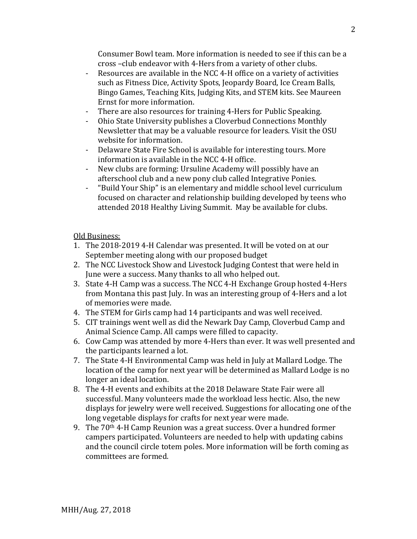Consumer Bowl team. More information is needed to see if this can be a cross –club endeavor with 4-Hers from a variety of other clubs.

- Resources are available in the NCC 4-H office on a variety of activities such as Fitness Dice, Activity Spots, Jeopardy Board, Ice Cream Balls, Bingo Games, Teaching Kits, Judging Kits, and STEM kits. See Maureen Ernst for more information.
- There are also resources for training 4-Hers for Public Speaking.<br>- Ohio State University publishes a Cloverbud Connections Monthl
- Ohio State University publishes a Cloverbud Connections Monthly Newsletter that may be a valuable resource for leaders. Visit the OSU website for information.
- Delaware State Fire School is available for interesting tours. More information is available in the NCC 4-H office.
- New clubs are forming: Ursuline Academy will possibly have an afterschool club and a new pony club called Integrative Ponies.
- "Build Your Ship" is an elementary and middle school level curriculum focused on character and relationship building developed by teens who attended 2018 Healthy Living Summit. May be available for clubs.

Old Business:

- 1. The 2018-2019 4-H Calendar was presented. It will be voted on at our September meeting along with our proposed budget
- 2. The NCC Livestock Show and Livestock Judging Contest that were held in June were a success. Many thanks to all who helped out.
- 3. State 4-H Camp was a success. The NCC 4-H Exchange Group hosted 4-Hers from Montana this past July. In was an interesting group of 4-Hers and a lot of memories were made.
- 4. The STEM for Girls camp had 14 participants and was well received.
- 5. CIT trainings went well as did the Newark Day Camp, Cloverbud Camp and Animal Science Camp. All camps were filled to capacity.
- 6. Cow Camp was attended by more 4-Hers than ever. It was well presented and the participants learned a lot.
- 7. The State 4-H Environmental Camp was held in July at Mallard Lodge. The location of the camp for next year will be determined as Mallard Lodge is no longer an ideal location.
- 8. The 4-H events and exhibits at the 2018 Delaware State Fair were all successful. Many volunteers made the workload less hectic. Also, the new displays for jewelry were well received. Suggestions for allocating one of the long vegetable displays for crafts for next year were made.
- 9. The  $70<sup>th</sup>$  4-H Camp Reunion was a great success. Over a hundred former campers participated. Volunteers are needed to help with updating cabins and the council circle totem poles. More information will be forth coming as committees are formed.